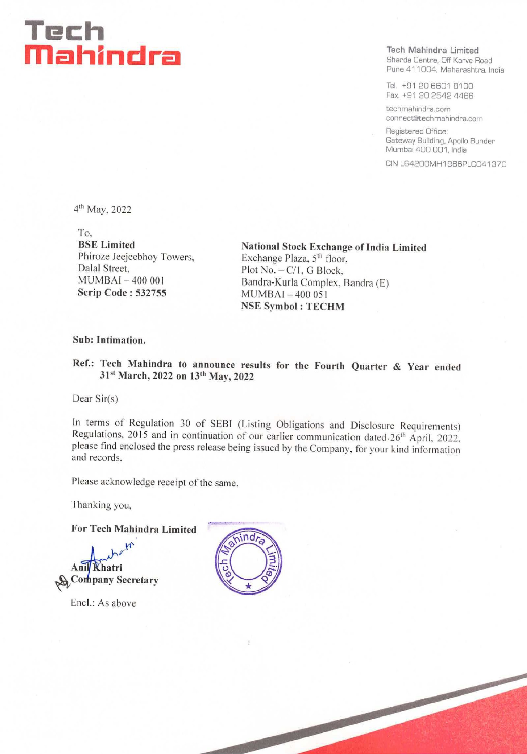## Tech mM md hh il mn cl rel Sharda Centre, Off Karve Road

**Tech Mahindra Limited** Pune 411004, Maharashtra, India

Tel, +91 20 6601 8100 Fax. +91 20 2542 4466

techmahindra.com connect@techmahindra.com

Registered Office: Gateway Building, Apollo Bunder Mumbai 400 001, India

CIN L64200MH1986PLC041370

4" May, 2022

To,

BSE Limited<br>
Phiroze Jeejeebhoy Towers, Exchange Plaza, 5<sup>th</sup> floor.<br>
Exchange Plaza, 5<sup>th</sup> floor. Phirope Jeegeeball Street, Phirope Plot No. - C/1, G Block, MUMBAI - 400 001 Bandra-Kurla Complex, Bandra (E) Scrip Code : 532755 MUMBAI - 400 051 NSE Symbol : TECHM

## Sub: Intimation.

Ref.: Tech Mahindra to announce results for the Fourth Quarter & Year ended 31<sup>st</sup> March, 2022 on 13<sup>th</sup> May, 2022

Dear Sir(s)

In terms of Regulation 30 of SEBI (Listing Obligations and Disclosure Requirements)<br>Regulations, 2015 and in continuation of our earlier communication dated  $.26^{th}$  April, 2022,<br>please find enclosed the press release bei

Please acknowledge receipt of the same.

Thanking you,

For Tech Mahindra Limited

 $\mathcal{H}$ Ani} Khatri **We Company Secretary** 

Encl.: As above

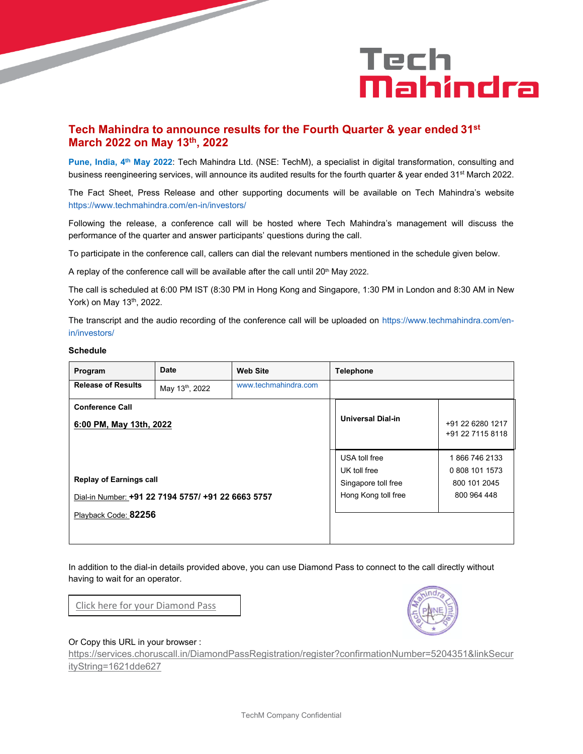# Tech Mahindra

## **Tech Mahindra to announce results for the Fourth Quarter & year ended 31st March 2022 on May 13 th , 2022**

**Pune, India, 4 th May 2022**: Tech Mahindra Ltd. (NSE: TechM), a specialist in digital transformation, consulting and business reengineering services, will announce its audited results for the fourth quarter & year ended 31<sup>st</sup> March 2022.

The Fact Sheet, Press Release and other supporting documents will be available on Tech Mahindra's website https://www.techmahindra.com/en-in/investors/

Following the release, a conference call will be hosted where Tech Mahindra's management will discuss the performance of the quarter and answer participants' questions during the call.

To participate in the conference call, callers can dial the relevant numbers mentioned in the schedule given below.

A replay of the conference call will be available after the call until  $20<sup>th</sup>$  May 2022.

The call is scheduled at 6:00 PM IST (8:30 PM in Hong Kong and Singapore, 1:30 PM in London and 8:30 AM in New York) on May 13<sup>th</sup>, 2022.

The transcript and the audio recording of the conference call will be uploaded on https://www.techmahindra.com/enin/investors/

## **Schedule**

| Program                                            | <b>Date</b>    | <b>Web Site</b>      | <b>Telephone</b>         |                                      |
|----------------------------------------------------|----------------|----------------------|--------------------------|--------------------------------------|
| <b>Release of Results</b>                          | May 13th, 2022 | www.techmahindra.com |                          |                                      |
| <b>Conference Call</b>                             |                |                      |                          | +91 22 6280 1217<br>+91 22 7115 8118 |
| 6:00 PM, May 13th, 2022                            |                |                      | <b>Universal Dial-in</b> |                                      |
|                                                    |                |                      | USA toll free            | 1866 746 2133                        |
|                                                    |                |                      | UK toll free             | 0 808 101 1573                       |
| <b>Replay of Earnings call</b>                     |                |                      | Singapore toll free      | 800 101 2045                         |
| Dial-in Number: +91 22 7194 5757/ +91 22 6663 5757 |                |                      | Hong Kong toll free      | 800 964 448                          |
| Playback Code: 82256                               |                |                      |                          |                                      |
|                                                    |                |                      |                          |                                      |

In addition to the dial-in details provided above, you can use Diamond Pass to connect to the call directly without having to wait for an operator.

[Click here for your Diamond Pass](https://services.choruscall.in/DiamondPassRegistration/register?confirmationNumber=5204351&linkSecurityString=1621dde627)



#### Or Copy this URL in your browser :

[https://services.choruscall.in/DiamondPassRegistration/register?confirmationNumber=5204351&linkSecur](https://ind01.safelinks.protection.outlook.com/?url=https%3A%2F%2Fservices.choruscall.in%2FDiamondPassRegistration%2Fregister%3FconfirmationNumber%3D5204351%26linkSecurityString%3D1621dde627&data=05%7C01%7Ckarthik.mathiyalagan%40techmahindra.com%7Cdc435589ce874a2964cb08da2cfa6c6b%7Cedf442f5b9944c86a131b42b03a16c95%7C0%7C0%7C637871751799310526%7CUnknown%7CTWFpbGZsb3d8eyJWIjoiMC4wLjAwMDAiLCJQIjoiV2luMzIiLCJBTiI6Ik1haWwiLCJXVCI6Mn0%3D%7C3000%7C%7C%7C&sdata=Fb0fMeA3l7uo3AZTPbPPW9Gs2%2F7WV1KqqdsMiu3abXw%3D&reserved=0) [ityString=1621dde627](https://ind01.safelinks.protection.outlook.com/?url=https%3A%2F%2Fservices.choruscall.in%2FDiamondPassRegistration%2Fregister%3FconfirmationNumber%3D5204351%26linkSecurityString%3D1621dde627&data=05%7C01%7Ckarthik.mathiyalagan%40techmahindra.com%7Cdc435589ce874a2964cb08da2cfa6c6b%7Cedf442f5b9944c86a131b42b03a16c95%7C0%7C0%7C637871751799310526%7CUnknown%7CTWFpbGZsb3d8eyJWIjoiMC4wLjAwMDAiLCJQIjoiV2luMzIiLCJBTiI6Ik1haWwiLCJXVCI6Mn0%3D%7C3000%7C%7C%7C&sdata=Fb0fMeA3l7uo3AZTPbPPW9Gs2%2F7WV1KqqdsMiu3abXw%3D&reserved=0)